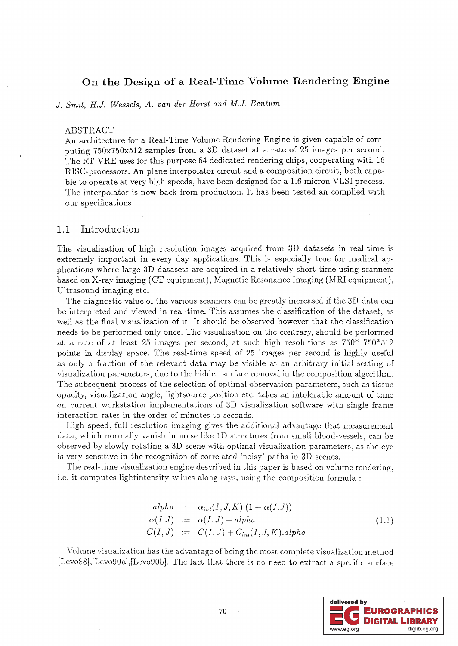# On the Design of a Real-Time Volume Rendering Engine

J. *Smit, H.J. Wessels, A. van der Horst and M.J. Bentum* 

#### ABSTRACT

An architecture for a Real-Time Volume Rendering Engine is given capable of computing 750x750x512 samples from a 3D dataset at a rate of 25 images per second. The RT-VRE uses for this purpose 64 dedicated rendering chips, cooperating with 16 RISC-processors. An plane interpolator circuit and a composition circuit, both capable to operate at very high speeds, have been designed for a 1.6 micron VLSI process. The interpolator is now back from production. It has been tested an complied with our specifications.

### 1.1 Introduction

The visualization of high resolution images acquired from 3D datasets in real-time is extremely important in every day applications. This is especially true for medical applications where large 3D datasets are acquired in a relatively short time using scanners based on X-ray imaging (CT equipment), Magnetic Resonance Imaging (MRI equipment), Ultrasound imaging etc.

The diagnostic value of the various scanners can be greatly increased if the 3D data can be interpreted and viewed in real-time. This assumes the classification of the dataset, as well as the final visualization of it. It should be observed however that the classification needs to be performed only once. The visualization on the contrary, should be performed at a rate of at least 25 images per second, at such high resolutions as 750\* 750\*512 points in display space. The real-time speed of 25 images per second is highly useful as only a fraction of the relevant data may be visible at an arbitrary initial setting of visualization parameters, due to the hidden surface removal in the composition algorithm. The subsequent process of the selection of optimal observation parameters, such as tissue opacity, visualization angle, light source position etc. takes an intolerable amount of time on current workstation implementations of 3D visualization software with single frame interaction rates in the order of minutes to seconds.

High speed, full resolution imaging gives the additional advantage that measurement data, which normally vanish in noise like ID structures from small blood-vessels, can be observed by slowly rotating a 3D scene with optimal visualization parameters, as the eye is very sensitive in the recognition of correlated 'noisy' paths in 3D scenes.

The real-time visualization engine described in this paper is based on volume rendering, i.e. it computes lightintensity values along rays, using the composition formula:

$$
alpha \quad : \quad \alpha_{int}(I, J, K).(1 - \alpha(I, J))
$$
  
\n
$$
\alpha(I, J) \quad := \quad \alpha(I, J) + alpha
$$
  
\n
$$
C(I, J) \quad := \quad C(I, J) + C_{int}(I, J, K).alpha
$$
\n(1.1)

Volume visualization has the advantage of being the most complete visualization method [Levo88], [Levo90a], [Levo90b]. The fact that there is no need to extract a specific surface

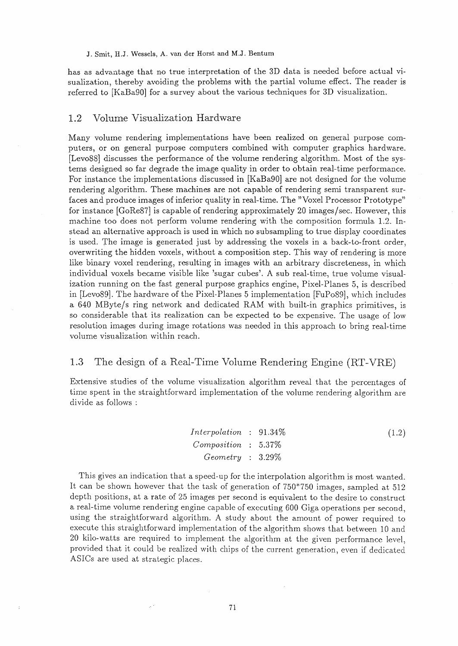J. Smit, H.J. Wessels, A. van der Horst and M.J. Bentum

has as advantage that no true interpretation of the 3D data is needed before actual visualization, thereby avoiding the problems with the partial volume effect. The reader is referred to [KaBa90] for a survey about the various techniques for 3D visualization.

## L2 Volume Visualization Hardware

Many volume rendering implementations have been realized on general purpose computers, or on general purpose computers combined with computer graphics hardware. [Lev088] discusses the performance of the volume rendering algorithm. Most of the systems designed so far degrade the image quality in order to obtain real-time performance. For instance the implementations discussed in [KaBa90] are not designed for the volume rendering algorithm. These machines are not capable of rendering semi transparent surfaces and produce images of inferior quality in real-time. The "Voxel Processor Prototype" for instance [GoRe87] is capable of rendering approximately 20 images/sec. However, this machine too does not perform volume rendering with the composition formula 1.2. Instead an alternative approach is used in which no subsampling to true display coordinates is used. The image is generated just by addressing the voxels in a back-to-front order, overwriting the hidden voxels, without a composition step. This way of rendering is more like binary voxel rendering, resulting in images with an arbitrary discreteness, in which individual voxels became visible like 'sugar cubes'. A sub real-time, true volume visualization running on the fast general purpose graphics engine, Pixel-Planes 5, is described in [Lev089]. The hardware of the Pixel-Planes 5 implementation [FuPo89], which includes a 640 MByte/s ring network and dedicated RAM with built-in graphics primitives, is so considerable that its realization can be expected to be expensive. The usage of low resolution images during image rotations was needed in this approach to bring real-time volume visualization within reach.

### L3 The design of a Real-Time Volume Rendering Engine (RT-VRE)

Extensive studies of the volume visualization algorithm reveal that the percentages of time spent in the straightforward implementation of the volume rendering algorithm are divide as follows:

*InteTpolation Composition GeometTy*  91.34% 5.37% 3.29% (1.2)

This gives an indication that a speed-up for the interpolation algorithm is most wanted. It can be shown however that the task of generation of  $750*750$  images, sampled at  $512$ depth positions, at a rate of 25 images per second is equivalent to the desire to construct a real-time volume rendering engine capable of executing 600 Giga operations per second, using the straightfonvard algorithm. A study about the amount of power required to execute this straightforward implementation of the algorithm shows that between 10 and 20 kilo-watts are required to implement the algorithm at the given performance level, provided that it could be realized with chips of the current generation, even if dedicated ASICs are used at strategic places.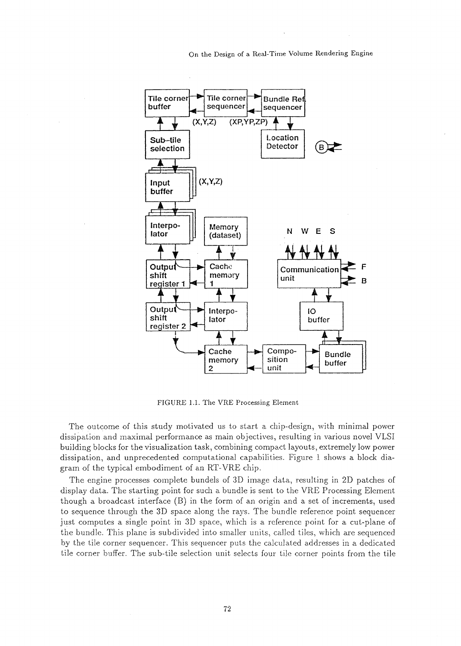On the Design of a Real-Time Volume Rendering Engine



FIGURE 1.1. The VRE Processing Element

The outcome of this study motivated us to start a chip-design, with minimal power dissipation and maximal performance as main objectives, resulting in various novel VLSI building blocks for the visualization task, combining compact layouts, extremely low power dissipation, and unprecedented computational capabilities. Figure 1 shows a block diagram of the typical embodiment of an RT-VRE chip.

The engine processes complete bundels of 3D image data, resulting in 2D patches of display data. The starting point for such a bundle is sent to the VRE Processing Element though a broadcast interface (B) in the form of an origin and a set of increments, used to sequence through the 3D space along the rays. The bundle reference point sequencer just computes a single point in 3D space, which is a reference point for a cut-plane of the bundle. This plane is subdivided into smaller units, called tiles, which are sequenced by the tile corner sequencer. This sequencer puts the calculated addresses in a dedicated tile corner buffer. The sub-tile selection unit selects four tile corner points from the tile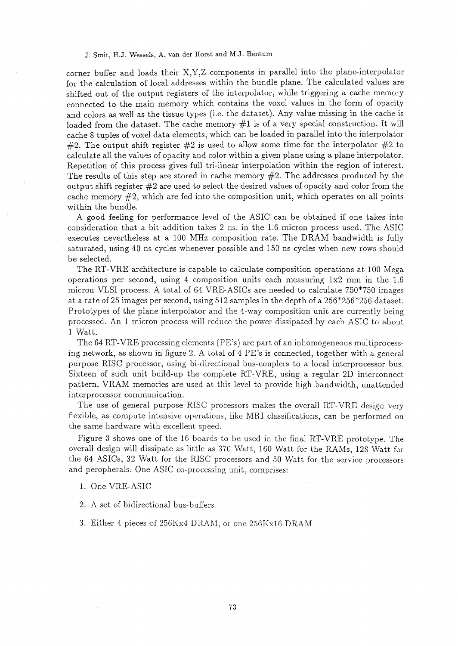#### J. Smit, H.J. Wessels, A. van der Horst and M.J. Bentum

corner buffer and loads their X,Y,Z components in parallel into the plane-interpolator for the calculation of local addresses within the bundle plane. The calculated values are shifted out of the output registers of the interpolator, while triggering a cache memory connected to the main memory which contains the voxel values in the form of opacity and colors as well as the tissue types (i.e. the dataset). Any value missing in the cache is loaded from the dataset. The cache memory  $#1$  is of a very special construction. It will cache 8 tuples of voxel data elements, which can be loaded in parallel into the interpolator #2. The output shift register #2 is used to allow some time for the interpolator #2 to calculate all the values of opacity and color within a given plane using a plane interpolator. Repetition of this process gives full tri-linear interpolation within the region of interest. The results of this step are stored in cache memory #2. The addresses produced by the output shift register #2 are used to select the desired values of opacity and color from the cache memory  $#2$ , which are fed into the composition unit, which operates on all points within the bundle.

A good feeling for performance level of the ASIC can be obtained if one takes into consideration that a bit addition takes 2 ns. in the 1.6 micron process used. The ASIC executes nevertheless at a 100 MHz composition rate. The DRAM bandwidth is fully saturated, using 40 ns cycles whenever possible and 150 ns cycles when new rows should be selected.

The RT-VRE architecture is capable to calculate composition operations at 100 Mega operations per second, using 4 composition units each measuring lx2 mm in the 1.6 micron VLSI process. A total of 64 VRE-ASICs are needed to calculate 750\*750 images at a rate of 25 images per second, using  $512$  samples in the depth of a  $256*256*256$  dataset. Prototypes of the plane interpolator and the 4-way composition unit are currently being processed. An 1 micron process will reduce the power dissipated by each ASIC to about 1 Watt.

The 64 RT -VRE processing elements (PE's) are part of an inhomogeneous multiprocessing network, as shown in figure 2. A total of 4 PE's is connected, together with a general purpose RISC processor, using bi-directional bus-couplers to a local interprocessor bus. Sixteen of such unit build-up the complete RT -VRE, using a regular 2D interconnect pattern. VRAM memories are used at this level to provide high bandwidth, unattended interprocessor communication.

The use of general purpose RISC processors makes the overall RT-VRE design very flexible, as compute intensive operations, like MRI classifications, can be performed on the same hardware with excellent speed.

Figure 3 shows one of the 16 boards to be used in the final RT -VRE prototype. The overall design will dissipate as little as 370 Watt, 160 Watt for the RAMs, 128 \Vatt for the 64 ASICs, 32 Watt for the RISC processors and 50 Watt for the service processors and peropherals. One ASIC co-processing unit, comprises:

- 1. One VRE-ASIC
- 2. A set of bidirectional bus-buffers
- 3. Either 4 pieces of 256Kx4 DRAM, or one 256Kx16 DRAM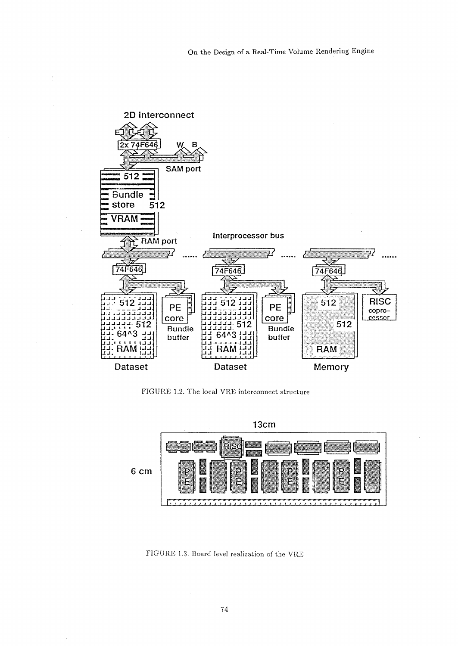

FIGURE 1.2. The local VRE interconnect structure



FIGURE 1.3. Board level realization of the VRE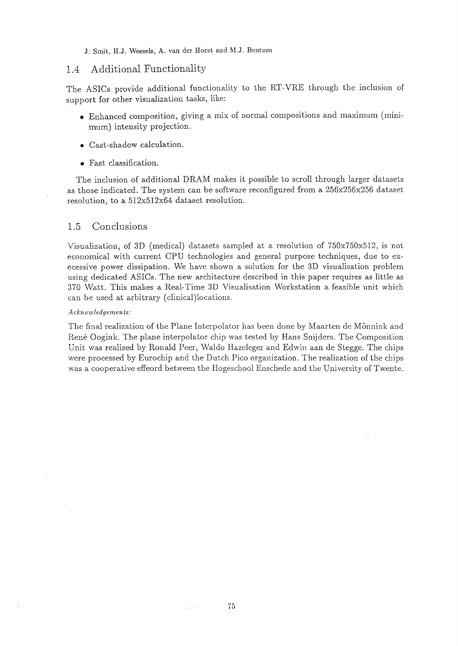J. Smit, H.J. Wessels, A. van der Horst and M.J. Bentum

#### 1.4 Additional Functionality

The ASICs provide additional functionality to the RT-VRE through the inclusion of support for other visualization tasks, like:

- @ Enhanced composition, giving a mix of normal compositions and maximum (minimum) intensity projection.
- Cast-shadow calculation.
- Fast classification.

The inclusion of additional DRAM makes it possible to scroll through larger datasets as those indicated. The system can be software reconfigured from a 256x256x256 dataset resolution, to a 512x512x64 dataset resolution.

## 1.5 Conclusions

Visualization, of 3D (medical) datasets sampled at a resolution of 750x750x512, is not economical with current CPU technologies and general purpose techniques, due to execessive power dissipation. We have shown a solution for the 3D visualisation problem using dedicated ASICs. The new architecture described in this paper requires as little as 370 Watt. This makes a Real-Time 3D Visualisation Workstation a feasible unit which can be used at arbitrary (clinical)locations.

#### *Acknowledgements:*

The final realization of the Plane Interpolator has been done by Maarten de Mönnink and René Oogink. The plane interpolator chip was tested by Hans Snijders. The Composition Unit was realized by Ronald Peer, Waldo Hazeleger and Edwin aan de Stegge. The chips were processed by Eurochip and the Dutch Pico organization. The realization of the chips was a cooperative effeord between the Hogeschool Enschede and the University of Twente.

 $\omega \propto \omega_{\rm g}$